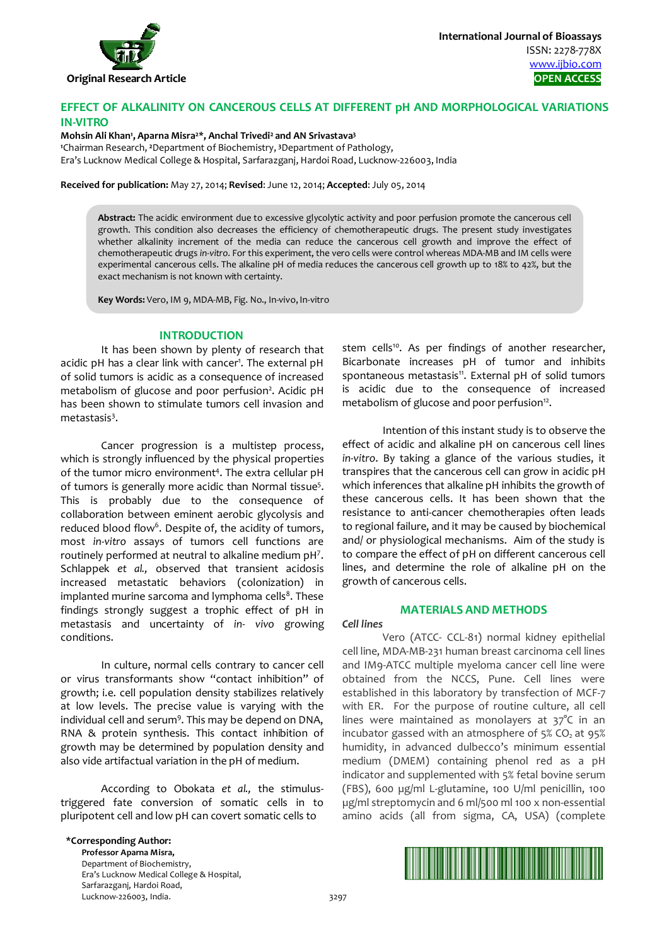

# **EFFECT OF ALKALINITY ON CANCEROUS CELLS AT DIFFERENT pH AND MORPHOLOGICAL VARIATIONS IN-VITRO**

#### **Mohsin Ali Khan1 , Aparna Misra2\*, Anchal Trivedi2 and AN Srivastava3**

**1** Chairman Research, **<sup>2</sup>**Department of Biochemistry, **<sup>3</sup>**Department of Pathology, Era's Lucknow Medical College & Hospital, Sarfarazganj, Hardoi Road, Lucknow-226003, India

**Received for publication:** May 27, 2014; **Revised**: June 12, 2014; **Accepted**: July 05, 2014

**Abstract:** The acidic environment due to excessive glycolytic activity and poor perfusion promote the cancerous cell growth. This condition also decreases the efficiency of chemotherapeutic drugs. The present study investigates whether alkalinity increment of the media can reduce the cancerous cell growth and improve the effect of chemotherapeutic drugs *in-vitro.* For this experiment, the vero cells were control whereas MDA-MB and IM cells were experimental cancerous cells. The alkaline pH of media reduces the cancerous cell growth up to 18% to 42%, but the exact mechanism is not known with certainty.

**Key Words:** Vero, IM 9, MDA-MB, Fig. No., In-vivo, In-vitro

#### **INTRODUCTION**

It has been shown by plenty of research that acidic pH has a clear link with cancer<sup>1</sup>. The external pH of solid tumors is acidic as a consequence of increased metabolism of glucose and poor perfusion<sup>2</sup>. Acidic pH has been shown to stimulate tumors cell invasion and metastasis<sup>3</sup>.

Cancer progression is a multistep process, which is strongly influenced by the physical properties of the tumor micro environment<sup>4</sup>. The extra cellular pH of tumors is generally more acidic than Normal tissue<sup>5</sup>. This is probably due to the consequence of collaboration between eminent aerobic glycolysis and reduced blood flow<sup>6</sup>. Despite of, the acidity of tumors, most *in-vitro* assays of tumors cell functions are routinely performed at neutral to alkaline medium pH<sup>7</sup>. Schlappek *et al.,* observed that transient acidosis increased metastatic behaviors (colonization) in implanted murine sarcoma and lymphoma cells<sup>8</sup>. These findings strongly suggest a trophic effect of pH in metastasis and uncertainty of *in- vivo* growing conditions.

In culture, normal cells contrary to cancer cell or virus transformants show "contact inhibition" of growth; i.e. cell population density stabilizes relatively at low levels. The precise value is varying with the individual cell and serum<sup>9</sup>. This may be depend on DNA, RNA & protein synthesis. This contact inhibition of growth may be determined by population density and also vide artifactual variation in the pH of medium.

According to Obokata *et al.,* the stimulustriggered fate conversion of somatic cells in to pluripotent cell and low pH can covert somatic cells to

stem cells<sup>10</sup>. As per findings of another researcher, Bicarbonate increases pH of tumor and inhibits spontaneous metastasis<sup>11</sup>. External pH of solid tumors is acidic due to the consequence of increased metabolism of glucose and poor perfusion<sup>12</sup>.

Intention of this instant study is to observe the effect of acidic and alkaline pH on cancerous cell lines *in-vitro*. By taking a glance of the various studies, it transpires that the cancerous cell can grow in acidic pH which inferences that alkaline pH inhibits the growth of these cancerous cells. It has been shown that the resistance to anti-cancer chemotherapies often leads to regional failure, and it may be caused by biochemical and/ or physiological mechanisms. Aim of the study is to compare the effect of pH on different cancerous cell lines, and determine the role of alkaline pH on the growth of cancerous cells.

## **MATERIALS AND METHODS**

*Cell lines* 

Vero (ATCC- CCL-81) normal kidney epithelial cell line, MDA-MB-231 human breast carcinoma cell lines and IM9-ATCC multiple myeloma cancer cell line were obtained from the NCCS, Pune. Cell lines were established in this laboratory by transfection of MCF-7 with ER. For the purpose of routine culture, all cell lines were maintained as monolayers at 37°C in an incubator gassed with an atmosphere of  $5\%$  CO<sub>2</sub> at  $95\%$ humidity, in advanced dulbecco's minimum essential medium (DMEM) containing phenol red as a pH indicator and supplemented with 5% fetal bovine serum (FBS), 600 µg/ml L-glutamine, 100 U/ml penicillin, 100 µg/ml streptomycin and 6 ml/500 ml 100 x non-essential amino acids (all from sigma, CA, USA) (complete

**\*Corresponding Author:** 

**Professor Aparna Misra,**  Department of Biochemistry, Era's Lucknow Medical College & Hospital, Sarfarazganj, Hardoi Road, Lucknow-226003, India. 3297

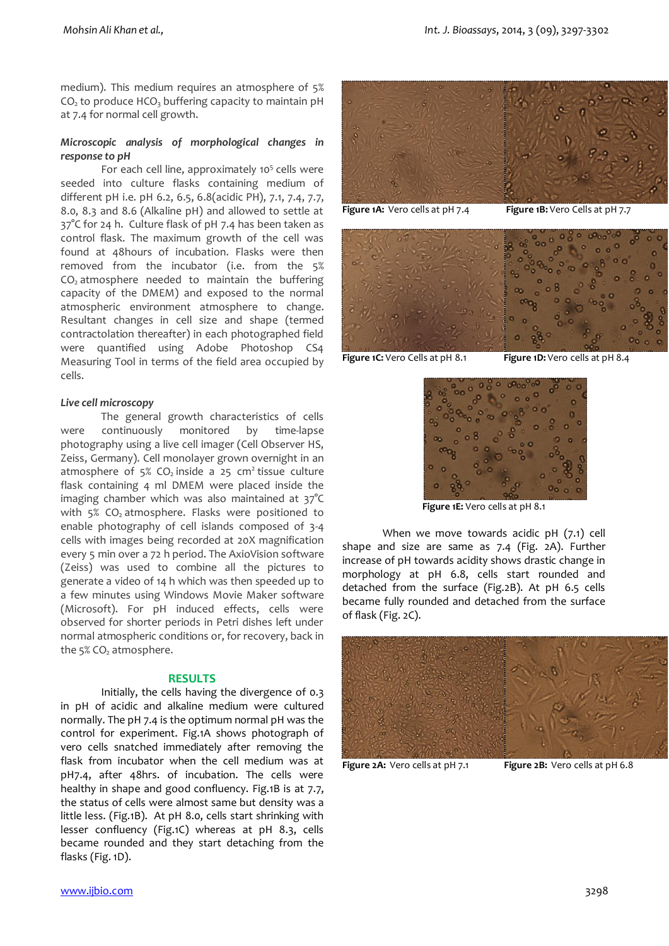medium). This medium requires an atmosphere of 5%  $CO<sub>2</sub>$  to produce HCO<sub>3</sub> buffering capacity to maintain pH at 7.4 for normal cell growth.

# *Microscopic analysis of morphological changes in response to pH*

For each cell line, approximately 10<sup>5</sup> cells were seeded into culture flasks containing medium of different pH i.e. pH 6.2, 6.5, 6.8(acidic PH), 7.1, 7.4, 7.7, 8.0, 8.3 and 8.6 (Alkaline pH) and allowed to settle at 37°C for 24 h. Culture flask of pH 7.4 has been taken as control flask. The maximum growth of the cell was found at 48hours of incubation. Flasks were then removed from the incubator (i.e. from the 5%  $CO<sub>2</sub>$  atmosphere needed to maintain the buffering capacity of the DMEM) and exposed to the normal atmospheric environment atmosphere to change. Resultant changes in cell size and shape (termed contractolation thereafter) in each photographed field were quantified using Adobe Photoshop CS4 Measuring Tool in terms of the field area occupied by cells.

# *Live cell microscopy*

The general growth characteristics of cells were continuously monitored by time-lapse photography using a live cell imager (Cell Observer HS, Zeiss, Germany). Cell monolayer grown overnight in an atmosphere of  $5\%$  CO<sub>2</sub> inside a 25 cm<sup>2</sup> tissue culture flask containing 4 ml DMEM were placed inside the imaging chamber which was also maintained at 37°C with  $5\%$  CO<sub>2</sub> atmosphere. Flasks were positioned to enable photography of cell islands composed of 3-4 cells with images being recorded at 20X magnification every 5 min over a 72 h period. The AxioVision software (Zeiss) was used to combine all the pictures to generate a video of 14 h which was then speeded up to a few minutes using Windows Movie Maker software (Microsoft). For pH induced effects, cells were observed for shorter periods in Petri dishes left under normal atmospheric conditions or, for recovery, back in the  $5\%$  CO<sub>2</sub> atmosphere.

## **RESULTS**

Initially, the cells having the divergence of 0.3 in pH of acidic and alkaline medium were cultured normally. The pH 7.4 is the optimum normal pH was the control for experiment. Fig.1A shows photograph of vero cells snatched immediately after removing the flask from incubator when the cell medium was at pH7.4, after 48hrs. of incubation. The cells were healthy in shape and good confluency. Fig.1B is at 7.7, the status of cells were almost same but density was a little less. (Fig.1B). At pH 8.0, cells start shrinking with lesser confluency (Fig.1C) whereas at pH 8.3, cells became rounded and they start detaching from the flasks (Fig. 1D).



**Figure 1C:** Vero Cells at pH 8.1 **Figure 1D:** Vero cells at pH 8.4



 **Figure 1E:** Vero cells at pH 8.1

When we move towards acidic pH (7.1) cell shape and size are same as 7.4 (Fig. 2A). Further increase of pH towards acidity shows drastic change in morphology at pH 6.8, cells start rounded and detached from the surface (Fig.2B). At pH 6.5 cells became fully rounded and detached from the surface of flask (Fig. 2C).



**Figure 2A:** Vero cells at pH 7.1 **Figure 2B:** Vero cells at pH 6.8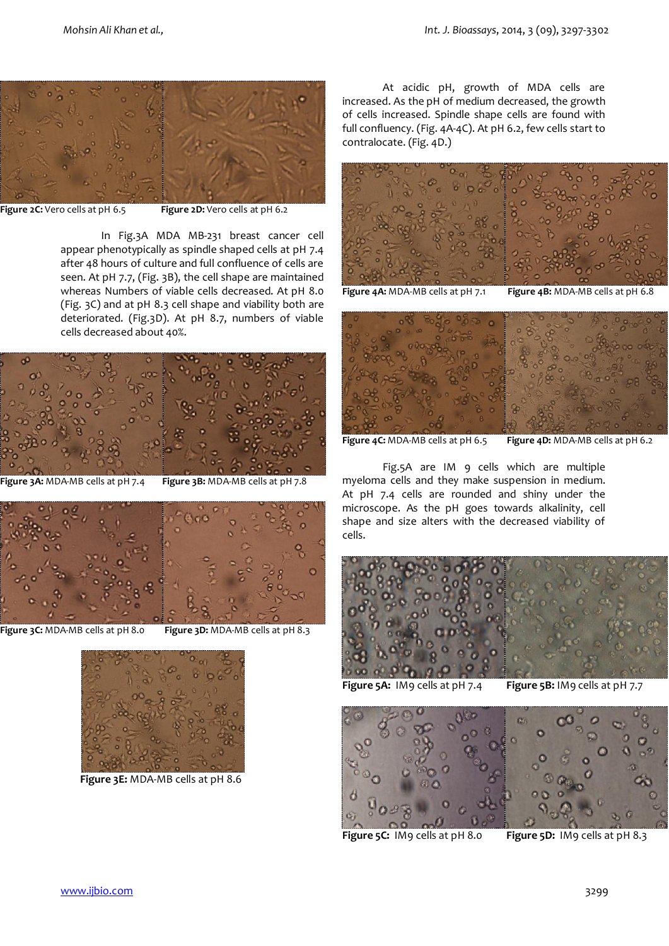

**Figure 2C:** Vero cells at pH 6.5 **Figure 2D:** Vero cells at pH 6.2

In Fig.3A MDA MB-231 breast cancer cell appear phenotypically as spindle shaped cells at pH 7.4 after 48 hours of culture and full confluence of cells are seen. At pH 7.7, (Fig. 3B), the cell shape are maintained whereas Numbers of viable cells decreased. At pH 8.0 (Fig. 3C) and at pH 8.3 cell shape and viability both are deteriorated. (Fig.3D). At pH 8.7, numbers of viable cells decreased about 40%.



**Figure 3A:** MDA-MB cells at pH 7.4 **Figure 3B:** MDA-MB cells at pH 7.8



**Figure 3C:** MDA-MB cells at pH 8.0 **Figure 3D:** MDA-MB cells at pH 8.3



 **Figure 3E:** MDA-MB cells at pH 8.6

At acidic pH, growth of MDA cells are increased. As the pH of medium decreased, the growth of cells increased. Spindle shape cells are found with full confluency. (Fig. 4A-4C). At pH 6.2, few cells start to contralocate. (Fig. 4D.)



**Figure 4A:** MDA-MB cells at pH 7.1 **Figure 4B:** MDA-MB cells at pH 6.8



**Figure 4C:** MDA-MB cells at pH 6.5 **Figure 4D:** MDA-MB cells at pH 6.2

Fig.5A are IM 9 cells which are multiple myeloma cells and they make suspension in medium. At pH 7.4 cells are rounded and shiny under the microscope. As the pH goes towards alkalinity, cell shape and size alters with the decreased viability of cells.



**Figure 5A:** IM9 cells at pH 7.4 **Figure 5B:** IM9 cells at pH 7.7



**Figure 5C:** IM9 cells at pH 8.0 **Figure 5D:** IM9 cells at pH 8.3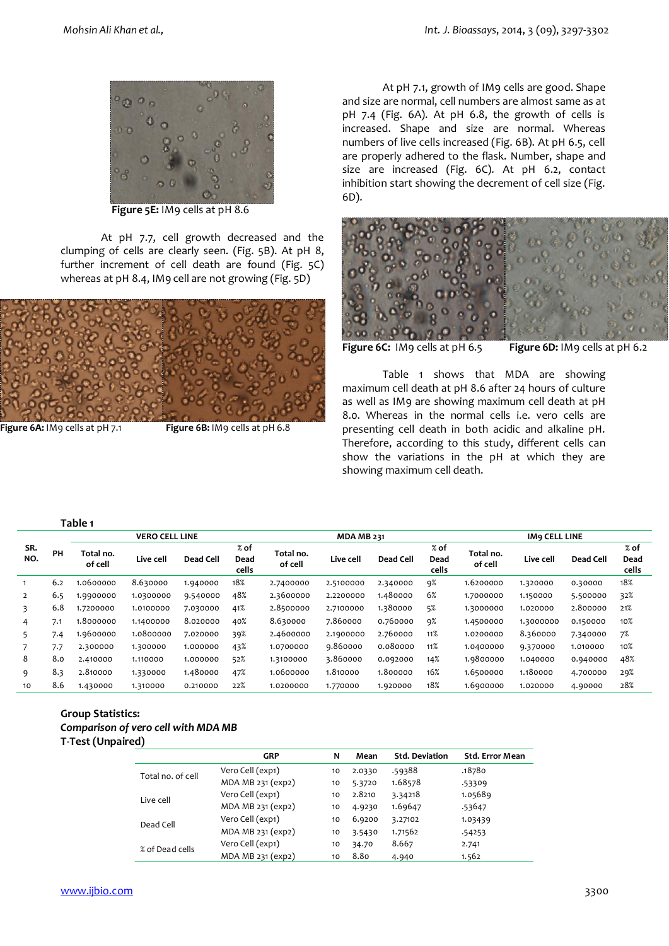

 **Figure 5E:** IM9 cells at pH 8.6

At pH 7.7, cell growth decreased and the clumping of cells are clearly seen. (Fig. 5B). At pH 8, further increment of cell death are found (Fig. 5C) whereas at pH 8.4, IM9 cell are not growing (Fig. 5D)



**Figure 6A:** IM9 cells at pH 7.1 **Figure 6B:** IM9 cells at pH 6.8

At pH 7.1, growth of IM9 cells are good. Shape and size are normal, cell numbers are almost same as at pH 7.4 (Fig. 6A). At pH 6.8, the growth of cells is increased. Shape and size are normal. Whereas numbers of live cells increased (Fig. 6B). At pH 6.5, cell are properly adhered to the flask. Number, shape and size are increased (Fig. 6C). At pH 6.2, contact inhibition start showing the decrement of cell size (Fig. 6D).



**Figure 6C:** IM9 cells at pH 6.5 **Figure 6D:** IM9 cells at pH 6.2

Table 1 shows that MDA are showing maximum cell death at pH 8.6 after 24 hours of culture as well as IM9 are showing maximum cell death at pH 8.0. Whereas in the normal cells i.e. vero cells are presenting cell death in both acidic and alkaline pH. Therefore, according to this study, different cells can show the variations in the pH at which they are showing maximum cell death.

#### **Table 1**

|                |     |                      | <b>VERO CELL LINE</b> |           |                         |                      | <b>MDA MB 231</b> |                  |                         |                      | <b>IMO CELL LINE</b> |           |                         |
|----------------|-----|----------------------|-----------------------|-----------|-------------------------|----------------------|-------------------|------------------|-------------------------|----------------------|----------------------|-----------|-------------------------|
| SR.<br>NO.     | PH  | Total no.<br>of cell | Live cell             | Dead Cell | $%$ of<br>Dead<br>cells | Total no.<br>of cell | Live cell         | <b>Dead Cell</b> | $%$ of<br>Dead<br>cells | Total no.<br>of cell | Live cell            | Dead Cell | $%$ of<br>Dead<br>cells |
|                | 6.2 | 1.0600000            | 8.630000              | 1.940000  | 18%                     | 2.7400000            | 2.5100000         | 2.340000         | 9%                      | 1.6200000            | 1.320000             | 0.30000   | 18%                     |
| $\overline{2}$ | 6.5 | 1.9900000            | 1.0300000             | 9.540000  | 48%                     | 2.3600000            | 2.2200000         | 1.480000         | 6%                      | 1.7000000            | 1.150000             | 5.500000  | 32%                     |
| 3              | 6.8 | 1.7200000            | 1.0100000             | 7.030000  | 41%                     | 2.8500000            | 2.7100000         | 1.380000         | 5%                      | 1.3000000            | 1.020000             | 2.800000  | 21%                     |
| 4              | 7.1 | 1.8000000            | 1.1400000             | 8.020000  | 40%                     | 8.630000             | 7.860000          | 0.760000         | 9%                      | 1.4500000            | 1.3000000            | 0.150000  | 10%                     |
| 5.             | 7.4 | 1.9600000            | 1.0800000             | 7.020000  | 39%                     | 2.4600000            | 2.1900000         | 2.760000         | 11%                     | 1.0200000            | 8.360000             | 7.340000  | 7%                      |
|                | 7.7 | 2.300000             | 1.300000              | 1.000000  | 43%                     | 1.0700000            | 9.860000          | 0.080000         | 11%                     | 1.0400000            | 9.370000             | 1.010000  | 10%                     |
| 8              | 8.0 | 2.410000             | 1.110000              | 1.000000  | 52%                     | 1.3100000            | 3.860000          | 0.092000         | 14%                     | 1.9800000            | 1.040000             | 0.940000  | 48%                     |
| 9              | 8.3 | 2.810000             | 1.330000              | 1.480000  | 47%                     | 1.0600000            | 1.810000          | 1.800000         | 16%                     | 1.6500000            | 1.180000             | 4.700000  | 29%                     |
| 10             | 8.6 | 1.430000             | 1.310000              | 0.210000  | 22%                     | 1.0200000            | 1.770000          | 1.920000         | 18%                     | 1.6900000            | 1.020000             | 4.90000   | 28%                     |

#### **Group Statistics:**  *Comparison of vero cell with MDA MB*  **T-Test (Unpaired)**

|                   | <b>GRP</b>        | N  | Mean   | <b>Std. Deviation</b> | <b>Std. Error Mean</b> |
|-------------------|-------------------|----|--------|-----------------------|------------------------|
| Total no. of cell | Vero Cell (exp1)  | 10 | 2.0330 | .59388                | .18780                 |
|                   | MDA MB 231 (exp2) | 10 | 5.3720 | 1.68578               | .53309                 |
| Live cell         | Vero Cell (exp1)  | 10 | 2.8210 | 3.34218               | 1.05689                |
|                   | MDA MB 231 (exp2) | 10 | 4.9230 | 1.69647               | .53647                 |
| Dead Cell         | Vero Cell (exp1)  | 10 | 6.9200 | 3.27102               | 1.03439                |
|                   | MDA MB 231 (exp2) | 10 | 3.5430 | 1.71562               | .54253                 |
| % of Dead cells   | Vero Cell (exp1)  | 10 | 34.70  | 8.667                 | 2.741                  |
|                   | MDA MB 231 (exp2) | 10 | 8.80   | 4.940                 | 1.562                  |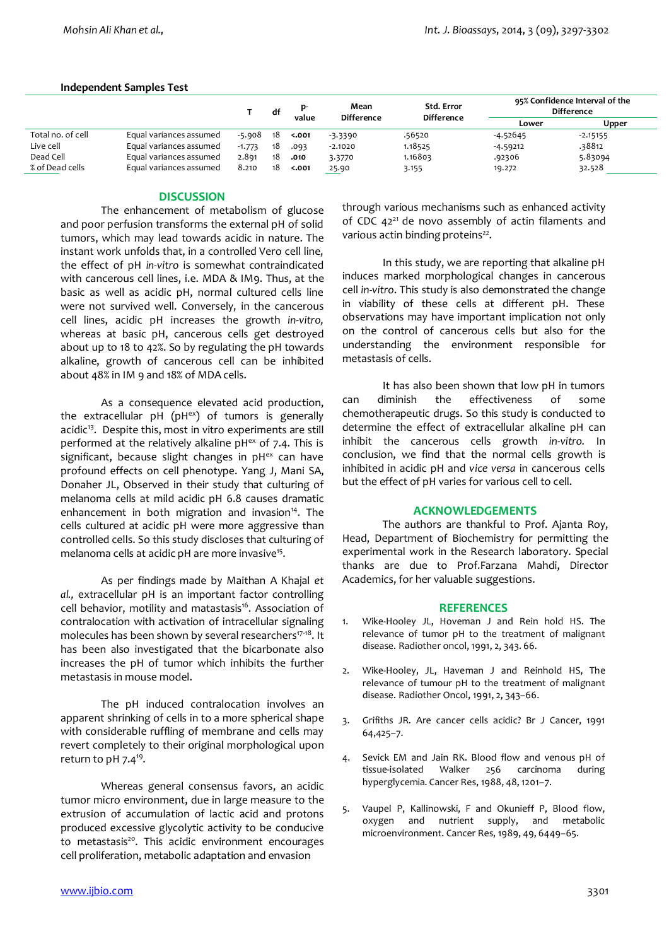#### **Independent Samples Test**

|                   |                         |          | df  |        | Mean<br><b>Difference</b> | Std. Error<br><b>Difference</b> | 95% Confidence Interval of the<br><b>Difference</b> |            |  |
|-------------------|-------------------------|----------|-----|--------|---------------------------|---------------------------------|-----------------------------------------------------|------------|--|
|                   |                         |          |     | value  |                           |                                 | Lower                                               | Upper      |  |
| Total no. of cell | Equal variances assumed | $-5.908$ | -18 | < .001 | $-3.3390$                 | .56520                          | $-4.52645$                                          | $-2.15155$ |  |
| Live cell         | Equal variances assumed | $-1.773$ | -18 | .093   | $-2.1020$                 | 1.18525                         | -4.59212                                            | .38812     |  |
| Dead Cell         | Equal variances assumed | 2.891    | 18  | .010   | 3.3770                    | 1.16803                         | .92306                                              | 5.83094    |  |
| % of Dead cells   | Equal variances assumed | 8.210    | 18  | < .001 | 25.90                     | 3.155                           | 19.272                                              | 32.528     |  |

## **DISCUSSION**

The enhancement of metabolism of glucose and poor perfusion transforms the external pH of solid tumors, which may lead towards acidic in nature. The instant work unfolds that, in a controlled Vero cell line, the effect of pH *in-vitro* is somewhat contraindicated with cancerous cell lines, i.e. MDA & IM9. Thus, at the basic as well as acidic pH, normal cultured cells line were not survived well. Conversely, in the cancerous cell lines, acidic pH increases the growth *in-vitro,*  whereas at basic pH, cancerous cells get destroyed about up to 18 to 42%. So by regulating the pH towards alkaline, growth of cancerous cell can be inhibited about 48% in IM 9 and 18% of MDA cells.

As a consequence elevated acid production, the extracellular  $pH$  ( $pH^{ex}$ ) of tumors is generally acidic<sup>13</sup>. Despite this, most in vitro experiments are still performed at the relatively alkaline  $pH<sup>ex</sup>$  of 7.4. This is significant, because slight changes in  $pH<sup>ex</sup>$  can have profound effects on cell phenotype. Yang J, Mani SA, Donaher JL, Observed in their study that culturing of melanoma cells at mild acidic pH 6.8 causes dramatic enhancement in both migration and invasion $14$ . The cells cultured at acidic pH were more aggressive than controlled cells. So this study discloses that culturing of melanoma cells at acidic pH are more invasive<sup>15</sup>.

As per findings made by Maithan A Khajal *et al.,* extracellular pH is an important factor controlling cell behavior, motility and matastasis<sup>16</sup>. Association of contralocation with activation of intracellular signaling molecules has been shown by several researchers<sup>17-18</sup>. It has been also investigated that the bicarbonate also increases the pH of tumor which inhibits the further metastasis in mouse model.

The pH induced contralocation involves an apparent shrinking of cells in to a more spherical shape with considerable ruffling of membrane and cells may revert completely to their original morphological upon return to pH 7.4<sup>19</sup>.

Whereas general consensus favors, an acidic tumor micro environment, due in large measure to the extrusion of accumulation of lactic acid and protons produced excessive glycolytic activity to be conducive to metastasis $20$ . This acidic environment encourages cell proliferation, metabolic adaptation and envasion

through various mechanisms such as enhanced activity of CDC  $42^{21}$  de novo assembly of actin filaments and various actin binding proteins $22$ .

In this study, we are reporting that alkaline pH induces marked morphological changes in cancerous cell *in-vitro*. This study is also demonstrated the change in viability of these cells at different pH. These observations may have important implication not only on the control of cancerous cells but also for the understanding the environment responsible for metastasis of cells.

It has also been shown that low pH in tumors can diminish the effectiveness of some chemotherapeutic drugs. So this study is conducted to determine the effect of extracellular alkaline pH can inhibit the cancerous cells growth *in-vitro.* In conclusion, we find that the normal cells growth is inhibited in acidic pH and *vice versa* in cancerous cells but the effect of pH varies for various cell to cell.

## **ACKNOWLEDGEMENTS**

The authors are thankful to Prof. Ajanta Roy, Head, Department of Biochemistry for permitting the experimental work in the Research laboratory. Special thanks are due to Prof.Farzana Mahdi, Director Academics, for her valuable suggestions.

## **REFERENCES**

- 1. Wike-Hooley JL, Hoveman J and Rein hold HS. The relevance of tumor pH to the treatment of malignant disease. Radiother oncol, 1991, 2, 343. 66.
- 2. Wike-Hooley, JL, Haveman J and Reinhold HS, The relevance of tumour pH to the treatment of malignant disease. Radiother Oncol, 1991, 2, 343–66.
- 3. Grifiths JR. Are cancer cells acidic? Br J Cancer, 1991 64,425–7.
- 4. Sevick EM and Jain RK. Blood flow and venous pH of tissue-isolated Walker 256 carcinoma during hyperglycemia. Cancer Res, 1988, 48, 1201–7.
- 5. Vaupel P, Kallinowski, F and Okunieff P, Blood flow, oxygen and nutrient supply, and metabolic microenvironment. Cancer Res, 1989, 49, 6449–65.